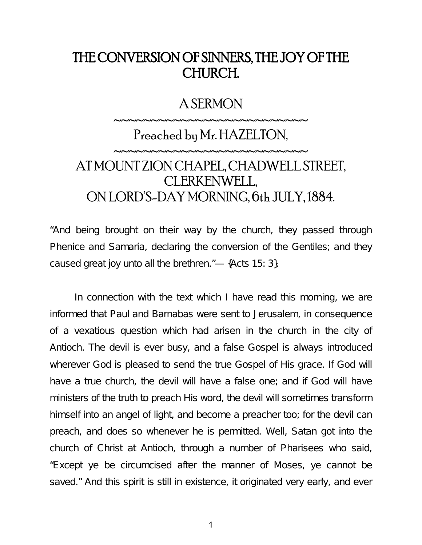## THE CONVERSION OF SINNERS, THE JOY OF THE CHURCH.

#### A SERMON

~~~~~~~~~~~~~~~~~~~~~~~~~

### Preached by Mr. HAZELTON,

~~~~~~~~~~~~~~~~~~~~~~~~~

# AT MOUNT ZION CHAPEL, CHADWELL STREET, CLERKENWELL, ON LORD'S-DAY MORNING, 6th JULY, 1884.

"And being brought on their way by the church, they passed through Phenice and Samaria, declaring the conversion of the Gentiles; and they caused great joy unto all the brethren."— {Acts 15: 3}.

In connection with the text which I have read this morning, we are informed that Paul and Barnabas were sent to Jerusalem, in consequence of a vexatious question which had arisen in the church in the city of Antioch. The devil is ever busy, and a false Gospel is always introduced wherever God is pleased to send the true Gospel of His grace. If God will have a true church, the devil will have a false one; and if God will have ministers of the truth to preach His word, the devil will sometimes transform himself into an angel of light, and become a preacher too; for the devil can preach, and does so whenever he is permitted. Well, Satan got into the church of Christ at Antioch, through a number of Pharisees who said, "Except ye be circumcised after the manner of Moses, ye cannot be saved." And this spirit is still in existence, it originated very early, and ever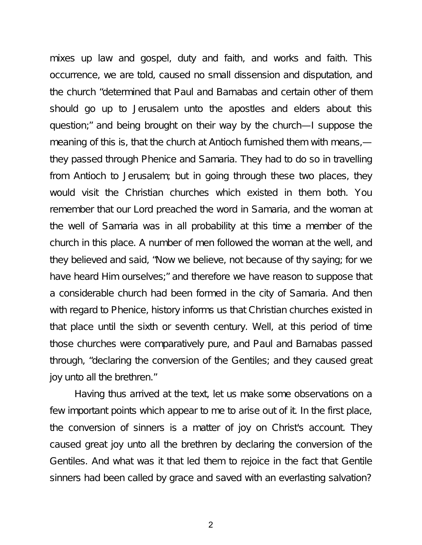mixes up law and gospel, duty and faith, and works and faith. This occurrence, we are told, caused no small dissension and disputation, and the church "determined that Paul and Barnabas and certain other of them should go up to Jerusalem unto the apostles and elders about this question;" and being brought on their way by the church—I suppose the meaning of this is, that the church at Antioch furnished them with means, they passed through Phenice and Samaria. They had to do so in travelling from Antioch to Jerusalem; but in going through these two places, they would visit the Christian churches which existed in them both. You remember that our Lord preached the word in Samaria, and the woman at the well of Samaria was in all probability at this time a member of the church in this place. A number of men followed the woman at the well, and they believed and said, "Now we believe, not because of thy saying; for we have heard Him ourselves;" and therefore we have reason to suppose that a considerable church had been formed in the city of Samaria. And then with regard to Phenice, history informs us that Christian churches existed in that place until the sixth or seventh century. Well, at this period of time those churches were comparatively pure, and Paul and Barnabas passed through, "declaring the conversion of the Gentiles; and they caused great joy unto all the brethren."

Having thus arrived at the text, let us make some observations on a few important points which appear to me to arise out of it. In the first place, the conversion of sinners is a matter of joy on Christ's account. They caused great joy unto all the brethren by declaring the conversion of the Gentiles. And what was it that led them to rejoice in the fact that Gentile sinners had been called by grace and saved with an everlasting salvation?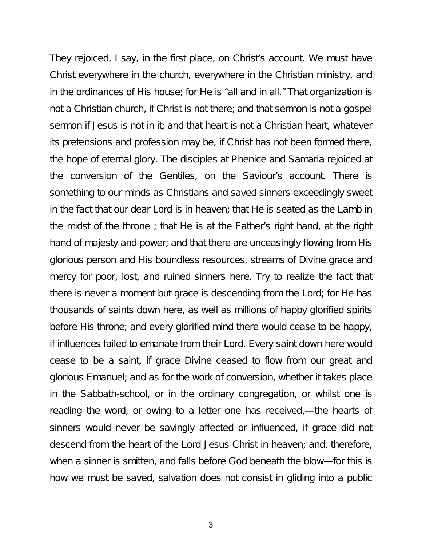They rejoiced, I say, in the first place, on Christ's account. We must have Christ everywhere in the church, everywhere in the Christian ministry, and in the ordinances of His house; for He is "all and in all." That organization is not a Christian church, if Christ is not there; and that sermon is not a gospel sermon if Jesus is not in it; and that heart is not a Christian heart, whatever its pretensions and profession may be, if Christ has not been formed there, the hope of eternal glory. The disciples at Phenice and Samaria rejoiced at the conversion of the Gentiles, on the Saviour's account. There is something to our minds as Christians and saved sinners exceedingly sweet in the fact that our dear Lord is in heaven; that He is seated as the Lamb in the midst of the throne ; that He is at the Father's right hand, at the right hand of majesty and power; and that there are unceasingly flowing from His glorious person and His boundless resources, streams of Divine grace and mercy for poor, lost, and ruined sinners here. Try to realize the fact that there is never a moment but grace is descending from the Lord; for He has thousands of saints down here, as well as millions of happy glorified spirits before His throne; and every glorified mind there would cease to be happy, if influences failed to emanate from their Lord. Every saint down here would cease to be a saint, if grace Divine ceased to flow from our great and glorious Emanuel; and as for the work of conversion, whether it takes place in the Sabbath-school, or in the ordinary congregation, or whilst one is reading the word, or owing to a letter one has received,—the hearts of sinners would never be savingly affected or influenced, if grace did not descend from the heart of the Lord Jesus Christ in heaven; and, therefore, when a sinner is smitten, and falls before God beneath the blow—for this is how we must be saved, salvation does not consist in gliding into a public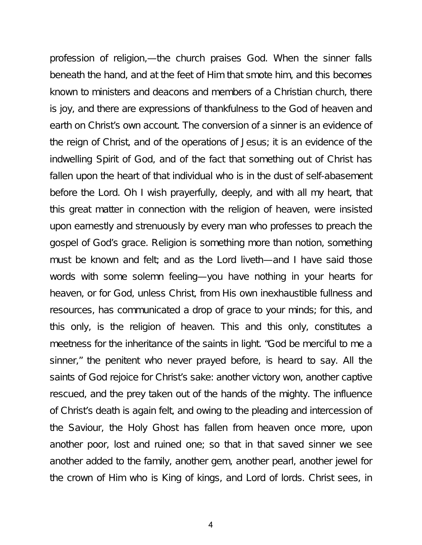profession of religion,—the church praises God. When the sinner falls beneath the hand, and at the feet of Him that smote him, and this becomes known to ministers and deacons and members of a Christian church, there is joy, and there are expressions of thankfulness to the God of heaven and earth on Christ's own account. The conversion of a sinner is an evidence of the reign of Christ, and of the operations of Jesus; it is an evidence of the indwelling Spirit of God, and of the fact that something out of Christ has fallen upon the heart of that individual who is in the dust of self-abasement before the Lord. Oh I wish prayerfully, deeply, and with all my heart, that this great matter in connection with the religion of heaven, were insisted upon earnestly and strenuously by every man who professes to preach the gospel of God's grace. Religion is something more than notion, something must be known and felt; and as the Lord liveth—and I have said those words with some solemn feeling—you have nothing in your hearts for heaven, or for God, unless Christ, from His own inexhaustible fullness and resources, has communicated a drop of grace to your minds; for this, and this only, is the religion of heaven. This and this only, constitutes a meetness for the inheritance of the saints in light. "God be merciful to me a sinner," the penitent who never prayed before, is heard to say. All the saints of God rejoice for Christ's sake: another victory won, another captive rescued, and the prey taken out of the hands of the mighty. The influence of Christ's death is again felt, and owing to the pleading and intercession of the Saviour, the Holy Ghost has fallen from heaven once more, upon another poor, lost and ruined one; so that in that saved sinner we see another added to the family, another gem, another pearl, another jewel for the crown of Him who is King of kings, and Lord of lords. Christ sees, in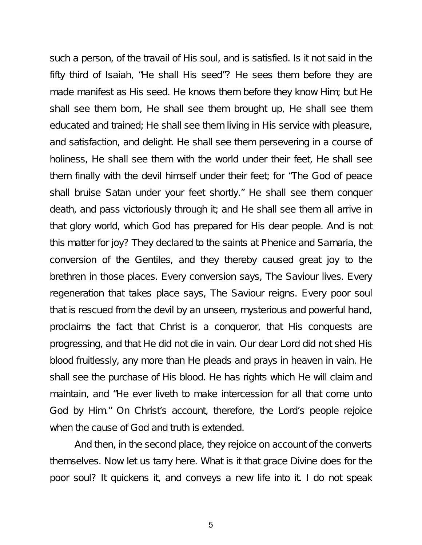such a person, of the travail of His soul, and is satisfied. Is it not said in the fifty third of Isaiah, "He shall His seed"? He sees them before they are made manifest as His seed. He knows them before they know Him; but He shall see them born, He shall see them brought up, He shall see them educated and trained; He shall see them living in His service with pleasure, and satisfaction, and delight. He shall see them persevering in a course of holiness, He shall see them with the world under their feet, He shall see them finally with the devil himself under their feet; for "The God of peace shall bruise Satan under your feet shortly." He shall see them conquer death, and pass victoriously through it; and He shall see them all arrive in that glory world, which God has prepared for His dear people. And is not this matter for joy? They declared to the saints at Phenice and Samaria, the conversion of the Gentiles, and they thereby caused great joy to the brethren in those places. Every conversion says, The Saviour lives. Every regeneration that takes place says, The Saviour reigns. Every poor soul that is rescued from the devil by an unseen, mysterious and powerful hand, proclaims the fact that Christ is a conqueror, that His conquests are progressing, and that He did not die in vain. Our dear Lord did not shed His blood fruitlessly, any more than He pleads and prays in heaven in vain. He shall see the purchase of His blood. He has rights which He will claim and maintain, and "He ever liveth to make intercession for all that come unto God by Him." On Christ's account, therefore, the Lord's people rejoice when the cause of God and truth is extended.

And then, in the second place, they rejoice on account of the converts themselves. Now let us tarry here. What is it that grace Divine does for the poor soul? It quickens it, and conveys a new life into it. I do not speak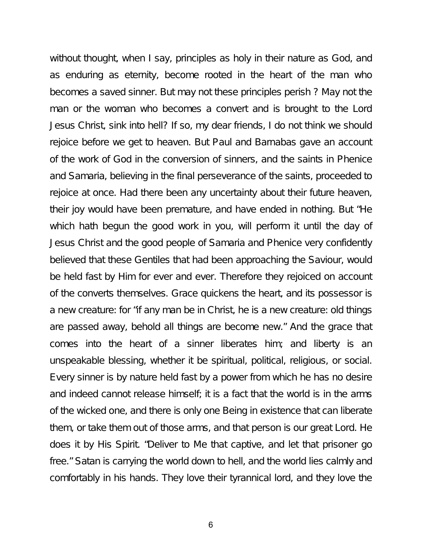without thought, when I say, principles as holy in their nature as God, and as enduring as eternity, become rooted in the heart of the man who becomes a saved sinner. But may not these principles perish ? May not the man or the woman who becomes a convert and is brought to the Lord Jesus Christ, sink into hell? If so, my dear friends, I do not think we should rejoice before we get to heaven. But Paul and Barnabas gave an account of the work of God in the conversion of sinners, and the saints in Phenice and Samaria, believing in the final perseverance of the saints, proceeded to rejoice at once. Had there been any uncertainty about their future heaven, their joy would have been premature, and have ended in nothing. But "He which hath begun the good work in you, will perform it until the day of Jesus Christ and the good people of Samaria and Phenice very confidently believed that these Gentiles that had been approaching the Saviour, would be held fast by Him for ever and ever. Therefore they rejoiced on account of the converts themselves. Grace quickens the heart, and its possessor is a new creature: for "if any man be in Christ, he is a new creature: old things are passed away, behold all things are become new." And the grace that comes into the heart of a sinner liberates him; and liberty is an unspeakable blessing, whether it be spiritual, political, religious, or social. Every sinner is by nature held fast by a power from which he has no desire and indeed cannot release himself; it is a fact that the world is in the arms of the wicked one, and there is only one Being in existence that can liberate them, or take them out of those arms, and that person is our great Lord. He does it by His Spirit. "Deliver to Me that captive, and let that prisoner go free." Satan is carrying the world down to hell, and the world lies calmly and comfortably in his hands. They love their tyrannical lord, and they love the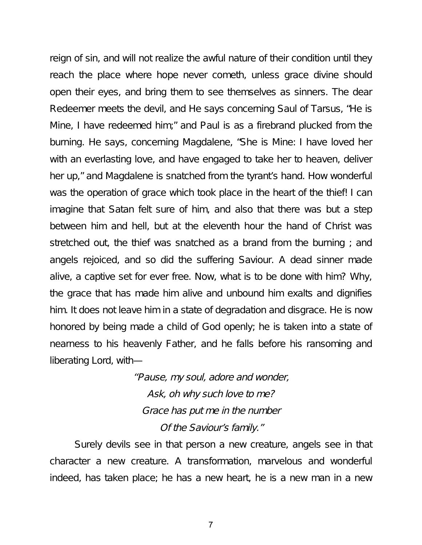reign of sin, and will not realize the awful nature of their condition until they reach the place where hope never cometh, unless grace divine should open their eyes, and bring them to see themselves as sinners. The dear Redeemer meets the devil, and He says concerning Saul of Tarsus, "He is Mine, I have redeemed him;" and Paul is as a firebrand plucked from the burning. He says, concerning Magdalene, "She is Mine: I have loved her with an everlasting love, and have engaged to take her to heaven, deliver her up," and Magdalene is snatched from the tyrant's hand. How wonderful was the operation of grace which took place in the heart of the thief! I can imagine that Satan felt sure of him, and also that there was but a step between him and hell, but at the eleventh hour the hand of Christ was stretched out, the thief was snatched as a brand from the burning ; and angels rejoiced, and so did the suffering Saviour. A dead sinner made alive, a captive set for ever free. Now, what is to be done with him? Why, the grace that has made him alive and unbound him exalts and dignifies him. It does not leave him in a state of degradation and disgrace. He is now honored by being made a child of God openly; he is taken into a state of nearness to his heavenly Father, and he falls before his ransoming and liberating Lord, with—

> ''Pause, my soul, adore and wonder, Ask, oh why such love to me? Grace has put me in the number Of the Saviour's family."

Surely devils see in that person a new creature, angels see in that character a new creature. A transformation, marvelous and wonderful indeed, has taken place; he has a new heart, he is a new man in a new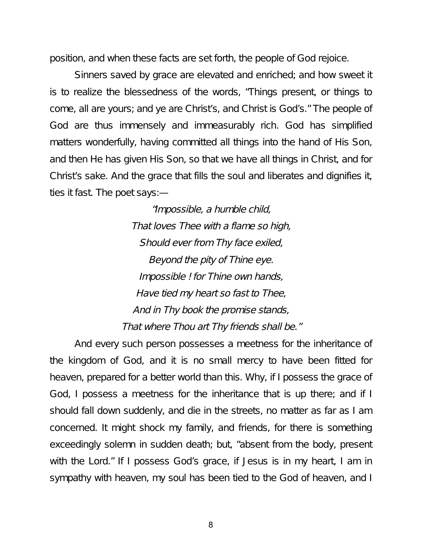position, and when these facts are set forth, the people of God rejoice.

Sinners saved by grace are elevated and enriched; and how sweet it is to realize the blessedness of the words, "Things present, or things to come, all are yours; and ye are Christ's, and Christ is God's." The people of God are thus immensely and immeasurably rich. God has simplified matters wonderfully, having committed all things into the hand of His Son, and then He has given His Son, so that we have all things in Christ, and for Christ's sake. And the grace that fills the soul and liberates and dignifies it, ties it fast. The poet says:—

> "Impossible, <sup>a</sup> humble child, That loves Thee with <sup>a</sup> flame so high, Should ever from Thy face exiled, Beyond the pity of Thine eye. Impossible ! for Thine own hands, Have tied my heart so fast to Thee, And in Thy book the promise stands, That where Thou art Thy friends shall be."

And every such person possesses a meetness for the inheritance of the kingdom of God, and it is no small mercy to have been fitted for heaven, prepared for a better world than this. Why, if I possess the grace of God, I possess a meetness for the inheritance that is up there; and if I should fall down suddenly, and die in the streets, no matter as far as I am concerned. It might shock my family, and friends, for there is something exceedingly solemn in sudden death; but, "absent from the body, present with the Lord." If I possess God's grace, if Jesus is in my heart, I am in sympathy with heaven, my soul has been tied to the God of heaven, and I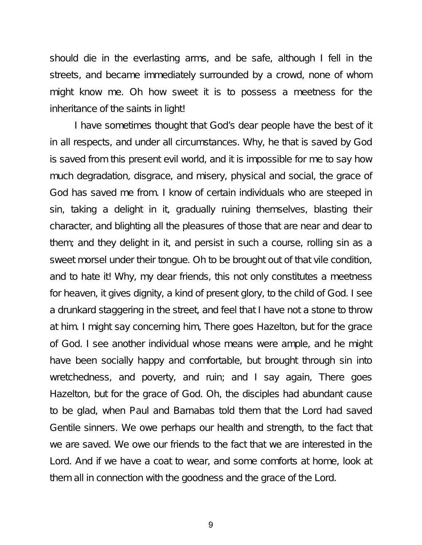should die in the everlasting arms, and be safe, although I fell in the streets, and became immediately surrounded by a crowd, none of whom might know me. Oh how sweet it is to possess a meetness for the inheritance of the saints in light!

I have sometimes thought that God's dear people have the best of it in all respects, and under all circumstances. Why, he that is saved by God is saved from this present evil world, and it is impossible for me to say how much degradation, disgrace, and misery, physical and social, the grace of God has saved me from. I know of certain individuals who are steeped in sin, taking a delight in it, gradually ruining themselves, blasting their character, and blighting all the pleasures of those that are near and dear to them; and they delight in it, and persist in such a course, rolling sin as a sweet morsel under their tongue. Oh to be brought out of that vile condition, and to hate it! Why, my dear friends, this not only constitutes a meetness for heaven, it gives dignity, a kind of present glory, to the child of God. I see a drunkard staggering in the street, and feel that I have not a stone to throw at him. I might say concerning him, There goes Hazelton, but for the grace of God. I see another individual whose means were ample, and he might have been socially happy and comfortable, but brought through sin into wretchedness, and poverty, and ruin; and I say again, There goes Hazelton, but for the grace of God. Oh, the disciples had abundant cause to be glad, when Paul and Barnabas told them that the Lord had saved Gentile sinners. We owe perhaps our health and strength, to the fact that we are saved. We owe our friends to the fact that we are interested in the Lord. And if we have a coat to wear, and some comforts at home, look at them all in connection with the goodness and the grace of the Lord.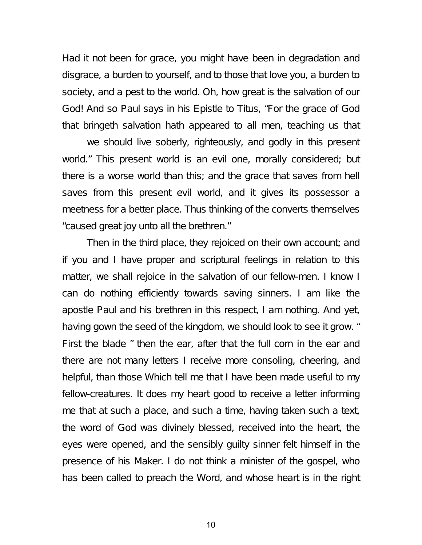Had it not been for grace, you might have been in degradation and disgrace, a burden to yourself, and to those that love you, a burden to society, and a pest to the world. Oh, how great is the salvation of our God! And so Paul says in his Epistle to Titus, "For the grace of God that bringeth salvation hath appeared to all men, teaching us that

we should live soberly, righteously, and godly in this present world." This present world is an evil one, morally considered; but there is a worse world than this; and the grace that saves from hell saves from this present evil world, and it gives its possessor a meetness for a better place. Thus thinking of the converts themselves "caused great joy unto all the brethren."

Then in the third place, they rejoiced on their own account; and if you and I have proper and scriptural feelings in relation to this matter, we shall rejoice in the salvation of our fellow-men. I know I can do nothing efficiently towards saving sinners. I am like the apostle Paul and his brethren in this respect, I am nothing. And yet, having gown the seed of the kingdom, we should look to see it grow. " First the blade " then the ear, after that the full corn in the ear and there are not many letters I receive more consoling, cheering, and helpful, than those Which tell me that I have been made useful to my fellow-creatures. It does my heart good to receive a letter informing me that at such a place, and such a time, having taken such a text, the word of God was divinely blessed, received into the heart, the eyes were opened, and the sensibly guilty sinner felt himself in the presence of his Maker. I do not think a minister of the gospel, who has been called to preach the Word, and whose heart is in the right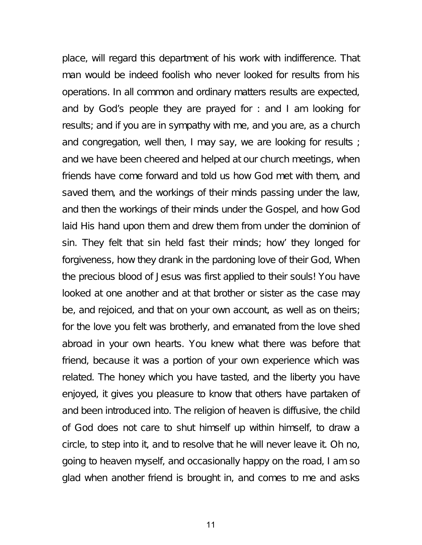place, will regard this department of his work with indifference. That man would be indeed foolish who never looked for results from his operations. In all common and ordinary matters results are expected, and by God's people they are prayed for : and I am looking for results; and if you are in sympathy with me, and you are, as a church and congregation, well then, I may say, we are looking for results ; and we have been cheered and helped at our church meetings, when friends have come forward and told us how God met with them, and saved them, and the workings of their minds passing under the law, and then the workings of their minds under the Gospel, and how God laid His hand upon them and drew them from under the dominion of sin. They felt that sin held fast their minds; how' they longed for forgiveness, how they drank in the pardoning love of their God, When the precious blood of Jesus was first applied to their souls! You have looked at one another and at that brother or sister as the case may be, and rejoiced, and that on your own account, as well as on theirs; for the love you felt was brotherly, and emanated from the love shed abroad in your own hearts. You knew what there was before that friend, because it was a portion of your own experience which was related. The honey which you have tasted, and the liberty you have enjoyed, it gives you pleasure to know that others have partaken of and been introduced into. The religion of heaven is diffusive, the child of God does not care to shut himself up within himself, to draw a circle, to step into it, and to resolve that he will never leave it. Oh no, going to heaven myself, and occasionally happy on the road, I am so glad when another friend is brought in, and comes to me and asks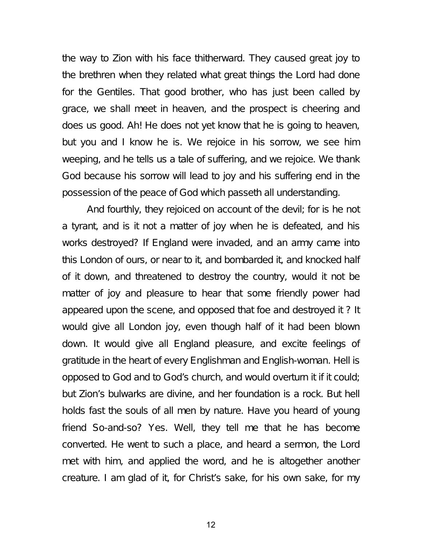the way to Zion with his face thitherward. They caused great joy to the brethren when they related what great things the Lord had done for the Gentiles. That good brother, who has just been called by grace, we shall meet in heaven, and the prospect is cheering and does us good. Ah! He does not yet know that he is going to heaven, but you and I know he is. We rejoice in his sorrow, we see him weeping, and he tells us a tale of suffering, and we rejoice. We thank God because his sorrow will lead to joy and his suffering end in the possession of the peace of God which passeth all understanding.

And fourthly, they rejoiced on account of the devil; for is he not a tyrant, and is it not a matter of joy when he is defeated, and his works destroyed? If England were invaded, and an army came into this London of ours, or near to it, and bombarded it, and knocked half of it down, and threatened to destroy the country, would it not be matter of joy and pleasure to hear that some friendly power had appeared upon the scene, and opposed that foe and destroyed it ? It would give all London joy, even though half of it had been blown down. It would give all England pleasure, and excite feelings of gratitude in the heart of every Englishman and English-woman. Hell is opposed to God and to God's church, and would overturn it if it could; but Zion's bulwarks are divine, and her foundation is a rock. But hell holds fast the souls of all men by nature. Have you heard of young friend So-and-so? Yes. Well, they tell me that he has become converted. He went to such a place, and heard a sermon, the Lord met with him, and applied the word, and he is altogether another creature. I am glad of it, for Christ's sake, for his own sake, for my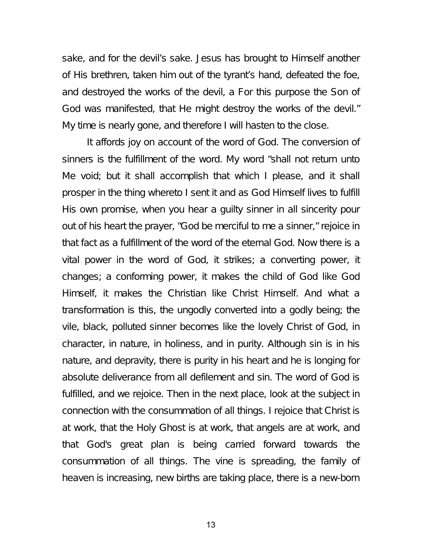sake, and for the devil's sake. Jesus has brought to Himself another of His brethren, taken him out of the tyrant's hand, defeated the foe, and destroyed the works of the devil, a For this purpose the Son of God was manifested, that He might destroy the works of the devil." My time is nearly gone, and therefore I will hasten to the close.

It affords joy on account of the word of God. The conversion of sinners is the fulfillment of the word. My word "shall not return unto Me void; but it shall accomplish that which I please, and it shall prosper in the thing whereto I sent it and as God Himself lives to fulfill His own promise, when you hear a guilty sinner in all sincerity pour out of his heart the prayer, "God be merciful to me a sinner," rejoice in that fact as a fulfillment of the word of the eternal God. Now there is a vital power in the word of God, it strikes; a converting power, it changes; a conforming power, it makes the child of God like God Himself, it makes the Christian like Christ Himself. And what a transformation is this, the ungodly converted into a godly being; the vile, black, polluted sinner becomes like the lovely Christ of God, in character, in nature, in holiness, and in purity. Although sin is in his nature, and depravity, there is purity in his heart and he is longing for absolute deliverance from all defilement and sin. The word of God is fulfilled, and we rejoice. Then in the next place, look at the subject in connection with the consummation of all things. I rejoice that Christ is at work, that the Holy Ghost is at work, that angels are at work, and that God's great plan is being carried forward towards the consummation of all things. The vine is spreading, the family of heaven is increasing, new births are taking place, there is a new-born